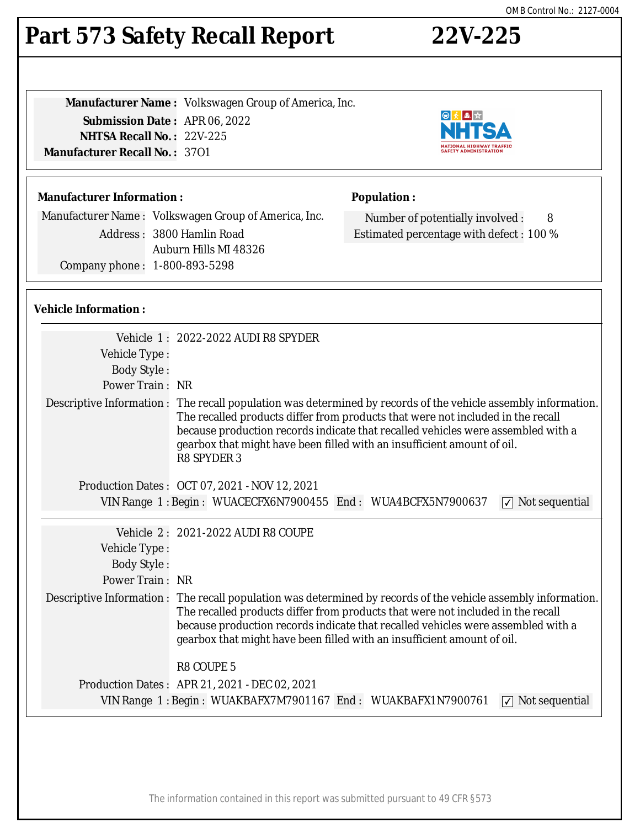# **Part 573 Safety Recall Report 22V-225**

**Manufacturer Name :** Volkswagen Group of America, Inc. **Submission Date :** APR 06, 2022 **NHTSA Recall No. :** 22V-225 **Manufacturer Recall No. :** 37O1



Manufacturer Name : Volkswagen Group of America, Inc. Address : 3800 Hamlin Road Auburn Hills MI 48326 Company phone : 1-800-893-5298

## **Vehicle Information :**

| Vehicle Type:<br><b>Body Style:</b>                                                       | Vehicle 1: 2022-2022 AUDI R8 SPYDER                                                                                                                                                                                                                                                                                                                                                    |  |
|-------------------------------------------------------------------------------------------|----------------------------------------------------------------------------------------------------------------------------------------------------------------------------------------------------------------------------------------------------------------------------------------------------------------------------------------------------------------------------------------|--|
| Power Train: NR                                                                           |                                                                                                                                                                                                                                                                                                                                                                                        |  |
|                                                                                           | Descriptive Information : The recall population was determined by records of the vehicle assembly information.<br>The recalled products differ from products that were not included in the recall<br>because production records indicate that recalled vehicles were assembled with a<br>gearbox that might have been filled with an insufficient amount of oil.<br><b>R8 SPYDER 3</b> |  |
|                                                                                           | Production Dates: OCT 07, 2021 - NOV 12, 2021                                                                                                                                                                                                                                                                                                                                          |  |
| VIN Range 1: Begin: WUACECFX6N7900455 End: WUA4BCFX5N7900637<br>$\sqrt{ }$ Not sequential |                                                                                                                                                                                                                                                                                                                                                                                        |  |
| Vehicle Type:<br><b>Body Style:</b><br>Power Train: NR                                    | Vehicle 2: 2021-2022 AUDI R8 COUPE<br>Descriptive Information : The recall population was determined by records of the vehicle assembly information.                                                                                                                                                                                                                                   |  |
|                                                                                           | The recalled products differ from products that were not included in the recall<br>because production records indicate that recalled vehicles were assembled with a<br>gearbox that might have been filled with an insufficient amount of oil.<br><b>R8 COUPE 5</b>                                                                                                                    |  |
|                                                                                           | Production Dates: APR 21, 2021 - DEC 02, 2021                                                                                                                                                                                                                                                                                                                                          |  |
| VIN Range 1: Begin: WUAKBAFX7M7901167 End: WUAKBAFX1N7900761<br>$\sqrt{ }$ Not sequential |                                                                                                                                                                                                                                                                                                                                                                                        |  |
|                                                                                           |                                                                                                                                                                                                                                                                                                                                                                                        |  |



**NATIONAL HIGHWAY TRAFFIC<br>SAFETY ADMINISTRATION** 

Number of potentially involved : 8 Estimated percentage with defect : 100 %

NHI

**Population :**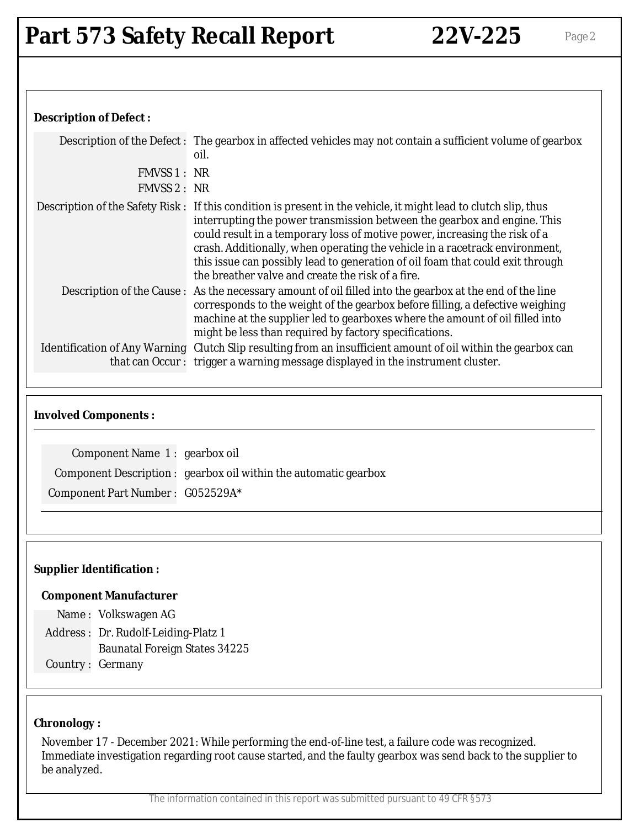## **Description of Defect :**

|              | Description of the Defect: The gearbox in affected vehicles may not contain a sufficient volume of gearbox<br>oil.                                                                                                                                                                                                                                                                                                                                                                              |
|--------------|-------------------------------------------------------------------------------------------------------------------------------------------------------------------------------------------------------------------------------------------------------------------------------------------------------------------------------------------------------------------------------------------------------------------------------------------------------------------------------------------------|
| FMVSS 1 : NR |                                                                                                                                                                                                                                                                                                                                                                                                                                                                                                 |
| FMVSS 2: NR  |                                                                                                                                                                                                                                                                                                                                                                                                                                                                                                 |
|              | Description of the Safety Risk: If this condition is present in the vehicle, it might lead to clutch slip, thus<br>interrupting the power transmission between the gearbox and engine. This<br>could result in a temporary loss of motive power, increasing the risk of a<br>crash. Additionally, when operating the vehicle in a racetrack environment,<br>this issue can possibly lead to generation of oil foam that could exit through<br>the breather valve and create the risk of a fire. |
|              | Description of the Cause: As the necessary amount of oil filled into the gearbox at the end of the line<br>corresponds to the weight of the gearbox before filling, a defective weighing<br>machine at the supplier led to gearboxes where the amount of oil filled into<br>might be less than required by factory specifications.                                                                                                                                                              |
|              | Identification of Any Warning Clutch Slip resulting from an insufficient amount of oil within the gearbox can<br>that can Occur: trigger a warning message displayed in the instrument cluster.                                                                                                                                                                                                                                                                                                 |

#### **Involved Components :**

| Component Name 1: gearbox oil    |                                                                  |
|----------------------------------|------------------------------------------------------------------|
|                                  | Component Description : gearbox oil within the automatic gearbox |
| Component Part Number: G052529A* |                                                                  |

#### **Supplier Identification :**

#### **Component Manufacturer**

Name : Volkswagen AG

Address : Dr. Rudolf-Leiding-Platz 1 Baunatal Foreign States 34225

Country : Germany

#### **Chronology :**

November 17 - December 2021: While performing the end-of-line test, a failure code was recognized. Immediate investigation regarding root cause started, and the faulty gearbox was send back to the supplier to be analyzed.

The information contained in this report was submitted pursuant to 49 CFR §573